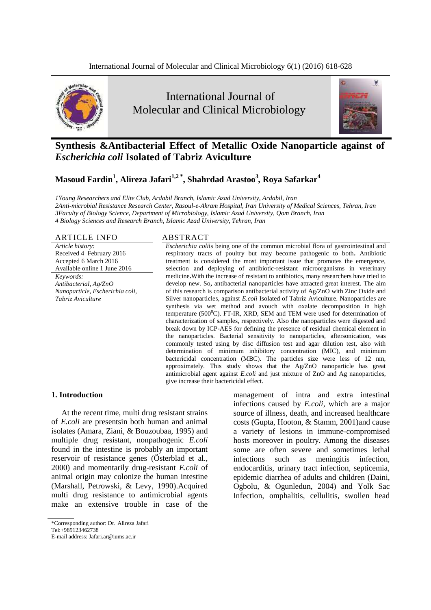



# **Synthesis &Antibacterial Effect of Metallic Oxide Nanoparticle against of**  *Escherichia coli* **Isolated of Tabriz Aviculture**

# **Masoud Fardin<sup>1</sup> , Alireza Jafari1,2 \*, Shahrdad Arastoo<sup>3</sup>** *,* **Roya Safarkar<sup>4</sup>**

*1Young Researchers and Elite Club, Ardabil Branch, Islamic Azad University, Ardabil, Iran 2Anti-microbial Resistance Research Center, Rasoul-e-Akram Hospital, Iran University of Medical Sciences, Tehran, Iran 3Faculty of Biology Science, Department of Microbiology, Islamic Azad University, Qom Branch, Iran 4 Biology Sciences and Research Branch, Islamic Azad University, Tehran, Iran*

#### ARTICLE INFO ABSTRACT

*Article history:* Received 4 February 2016 Accepted 6 March 2016 Available online 1 June 2016

*Keywords: Antibacterial, Ag/ZnO Nanoparticle, Escherichia coli, Tabriz Aviculture*

*Escherichia coli*is being one of the common microbial flora of gastrointestinal and respiratory tracts of poultry but may become pathogenic to both**.** Antibiotic treatment is considered the most important issue that promotes the emergence, selection and deploying of antibiotic-resistant microorganisms in veterinary medicine**.**With the increase of resistant to antibiotics, many researchers have tried to develop new. So**,** antibacterial nanoparticles have attracted great interest. The aim of this research is comparison antibacterial activity of Ag/ZnO with Zinc Oxide and Silver nanoparticles, against *E.coli* Isolated of Tabriz Aviculture. Nanoparticles are synthesis via wet method and avouch with oxalate decomposition in high temperature ( $500^{\circ}$ C). FT-IR, XRD, SEM and TEM were used for determination of characterization of samples, respectively. Also the nanoparticles were digested and break down by ICP-AES for defining the presence of residual chemical element in the nanoparticles. Bacterial sensitivity to nanoparticles, aftersonication, was commonly tested using by disc diffusion test and agar dilution test, also with determination of minimum inhibitory concentration (MIC), and minimum bactericidal concentration (MBC). The particles size were less of 12 nm, approximately. This study shows that the Ag/ZnO nanoparticle has great antimicrobial agent against *E.coli* and just mixture of ZnO and Ag nanoparticles, give increase their bactericidal effect.

# **1. Introduction**

At the recent time, multi drug resistant strains of *E.coli* are presentsin both human and animal isolates (Amara, Ziani, & Bouzoubaa, 1995) and multiple drug resistant, nonpathogenic *E.coli*  found in the intestine is probably an important reservoir of resistance genes (Österblad et al., 2000) and momentarily drug-resistant *E.coli* of animal origin may colonize the human intestine (Marshall, Petrowski, & Levy, 1990).Acquired multi drug resistance to antimicrobial agents make an extensive trouble in case of the

management of intra and extra intestinal infections caused by *E.coli*, which are a major source of illness, death, and increased healthcare costs (Gupta, Hooton, & Stamm, 2001)and cause a variety of lesions in immune-compromised hosts moreover in poultry. Among the diseases some are often severe and sometimes lethal infections such as meningitis infection, endocarditis, urinary tract infection, septicemia, epidemic diarrhea of adults and children (Daini, Ogbolu, & Ogunledun, 2004) and Yolk Sac Infection, omphalitis, cellulitis, swollen head

<sup>\*</sup>Corresponding author: Dr. Alireza Jafari

Tel:+989123462738

E-mail address: Jafari.ar@iums.ac.ir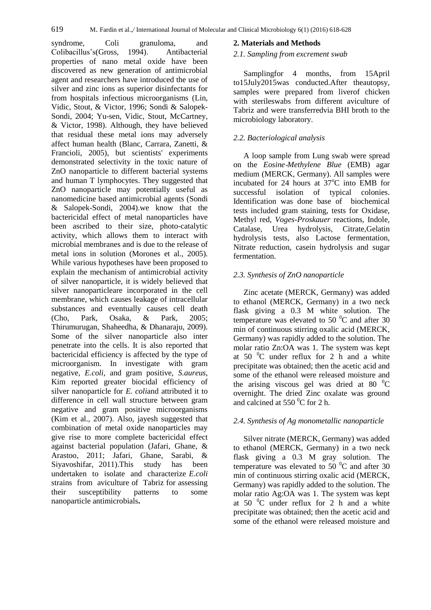syndrome, Coli granuloma, and Colibacillus's(Gross, 1994). Antibacterial properties of nano metal oxide have been discovered as new generation of antimicrobial agent and researchers have introduced the use of silver and zinc ions as superior disinfectants for from hospitals infectious microorganisms (Lin, Vidic, Stout, & Victor, 1996; Sondi & Salopek-Sondi, 2004; Yu-sen, Vidic, Stout, McCartney, & Victor, 1998). Although, they have believed that residual these metal ions may adversely affect human health (Blanc, Carrara, Zanetti, & Francioli, 2005), but scientists' experiments demonstrated selectivity in the toxic nature of ZnO nanoparticle to different bacterial systems and human T lymphocytes. They suggested that ZnO nanoparticle may potentially useful as nanomedicine based antimicrobial agents (Sondi & Salopek-Sondi, 2004).we know that the bactericidal effect of metal nanoparticles have been ascribed to their size, photo-catalytic activity, which allows them to interact with microbial membranes and is due to the release of metal ions in solution (Morones et al., 2005). While various hypotheses have been proposed to explain the mechanism of antimicrobial activity of silver nanoparticle, it is widely believed that silver nanoparticleare incorporated in the cell membrane, which causes leakage of intracellular substances and eventually causes cell death (Cho, Park, Osaka, & Park, 2005; Thirumurugan, Shaheedha, & Dhanaraju, 2009). Some of the silver nanoparticle also inter penetrate into the cells. It is also reported that bactericidal efficiency is affected by the type of microorganism. In investigate with gram negative, *E.coli*, and gram positive, *S.aureus*, Kim reported greater biocidal efficiency of silver nanoparticle for *E. coli*and attributed it to difference in cell wall structure between gram negative and gram positive microorganisms (Kim et al., 2007). Also, jayesh suggested that combination of metal oxide nanoparticles may give rise to more complete bactericidal effect against bacterial population (Jafari, Ghane, & Arastoo, 2011; Jafari, Ghane, Sarabi, & Siyavoshifar, 2011).This study has been undertaken to isolate and characterize *E.coli*  strains from aviculture of Tabriz for assessing their susceptibility patterns to some nanoparticle antimicrobials**.**

## **2. Materials and Methods**

### *2.1. Sampling from excrement swab*

Samplingfor 4 months, from 15April to15July2015was conducted.After theautopsy, samples were prepared from liverof chicken with sterileswabs from different aviculture of Tabriz and were transferredvia BHI broth to the microbiology laboratory.

# *2.2. Bacteriological analysis*

A loop sample from Lung swab were spread on the *Eosine*-*Methylene Blue* (EMB) agar medium (MERCK, Germany). All samples were incubated for 24 hours at  $37^{\circ}$ C into EMB for successful isolation of typical colonies. Identification was done base of biochemical tests included gram staining, tests for Oxidase, Methyl red, *Voges-Proskauer* reactions, Indole, Catalase, Urea hydrolysis, hydrolysis tests, also Lactose fermentation, Nitrate reduction, casein hydrolysis and sugar fermentation.

# *2.3. Synthesis of ZnO nanoparticle*

Zinc acetate (MERCK, Germany) was added to ethanol (MERCK, Germany) in a two neck flask giving a 0.3 M white solution. The temperature was elevated to 50 $\degree$ C and after 30 min of continuous stirring oxalic acid (MERCK, Germany) was rapidly added to the solution. The molar ratio Zn:OA was 1. The system was kept at 50  $\mathrm{^0C}$  under reflux for 2 h and a white precipitate was obtained; then the acetic acid and some of the ethanol were released moisture and the arising viscous gel was dried at 80  $\mathrm{^0C}$ overnight. The dried Zinc oxalate was ground and calcined at  $550<sup>0</sup>C$  for 2 h.

# *2.4. Synthesis of Ag monometallic nanoparticle*

Silver nitrate (MERCK, Germany) was added to ethanol (MERCK, Germany) in a two neck flask giving a 0.3 M gray solution. The temperature was elevated to  $50<sup>0</sup>C$  and after 30 min of continuous stirring oxalic acid (MERCK, Germany) was rapidly added to the solution. The molar ratio Ag:OA was 1. The system was kept at  $50<sup>0</sup>C$  under reflux for 2 h and a white precipitate was obtained; then the acetic acid and some of the ethanol were released moisture and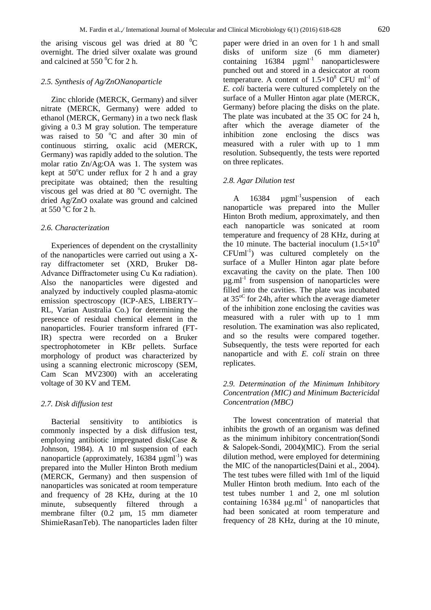the arising viscous gel was dried at 80  $^{\circ}$ C overnight. The dried silver oxalate was ground and calcined at 550 $\mathrm{^0C}$  for 2 h.

#### *2.5. Synthesis of Ag/ZnONanoparticle*

Zinc chloride (MERCK, Germany) and silver nitrate (MERCK, Germany) were added to ethanol (MERCK, Germany) in a two neck flask giving a 0.3 M gray solution. The temperature was raised to  $50^{\circ}$ C and after 30 min of continuous stirring, oxalic acid (MERCK, Germany) was rapidly added to the solution. The molar ratio Zn/Ag:OA was 1. The system was kept at  $50^{\circ}$ C under reflux for 2 h and a gray precipitate was obtained; then the resulting viscous gel was dried at 80  $^{\circ}$ C overnight. The dried Ag/ZnO oxalate was ground and calcined at  $550^{\circ}$ C for 2 h.

#### *2.6. Characterization*

Experiences of dependent on the crystallinity of the nanoparticles were carried out using a Xray diffractometer set (XRD, Bruker D8- Advance Diffractometer using Cu Kα radiation). Also the nanoparticles were digested and analyzed by inductively coupled plasma-atomic emission spectroscopy (ICP-AES, LIBERTY– RL, Varian Australia Co.) for determining the presence of residual chemical element in the nanoparticles. Fourier transform infrared (FT-IR) spectra were recorded on a Bruker spectrophotometer in KBr pellets. Surface morphology of product was characterized by using a scanning electronic microscopy (SEM, Cam Scan MV2300) with an accelerating voltage of 30 KV and TEM.

## *2.7. Disk diffusion test*

Bacterial sensitivity to antibiotics is commonly inspected by a disk diffusion test, employing antibiotic impregnated disk(Case & Johnson, 1984). A 10 ml suspension of each nanoparticle (approximately,  $16384 \mu$ gml<sup>-1</sup>) was prepared into the Muller Hinton Broth medium (MERCK, Germany) and then suspension of nanoparticles was sonicated at room temperature and frequency of 28 KHz, during at the 10 minute, subsequently filtered through a membrane filter (0.2 µm, 15 mm diameter ShimieRasanTeb). The nanoparticles laden filter

paper were dried in an oven for 1 h and small disks of uniform size (6 mm diameter) containing  $16384 \mu gml^{-1}$  nanoparticleswere punched out and stored in a desiccator at room temperature. A content of  $1.5 \times 10^8$  CFU ml<sup>-1</sup> of *E. coli* bacteria were cultured completely on the surface of a Muller Hinton agar plate (MERCK, Germany) before placing the disks on the plate. The plate was incubated at the 35 OC for 24 h, after which the average diameter of the inhibition zone enclosing the discs was measured with a ruler with up to 1 mm resolution. Subsequently, the tests were reported on three replicates.

#### *2.8. Agar Dilution test*

A 16384 µgml<sup>-1</sup>suspension of each nanoparticle was prepared into the Muller Hinton Broth medium, approximately, and then each nanoparticle was sonicated at room temperature and frequency of 28 KHz, during at the 10 minute. The bacterial inoculum  $(1.5\times10^{8}$ CFUml-1 ) was cultured completely on the surface of a Muller Hinton agar plate before excavating the cavity on the plate. Then 100  $\mu$ g.ml<sup>-1</sup> from suspension of nanoparticles were filled into the cavities. The plate was incubated at  $35^{\circ}$  for 24h, after which the average diameter of the inhibition zone enclosing the cavities was measured with a ruler with up to 1 mm resolution. The examination was also replicated, and so the results were compared together. Subsequently, the tests were reported for each nanoparticle and with *E. coli* strain on three replicates.

# *2.9. Determination of the Minimum Inhibitory Concentration (MIC) and Minimum Bactericidal Concentration (MBC)*

The lowest concentration of material that inhibits the growth of an organism was defined as the minimum inhibitory concentration(Sondi & Salopek-Sondi, 2004)(MIC). From the serial dilution method, were employed for determining the MIC of the nanoparticles(Daini et al., 2004). The test tubes were filled with 1ml of the liquid Muller Hinton broth medium. Into each of the test tubes number 1 and 2, one ml solution containing  $16384 \text{ µg.m}^{-1}$  of nanoparticles that had been sonicated at room temperature and frequency of 28 KHz, during at the 10 minute,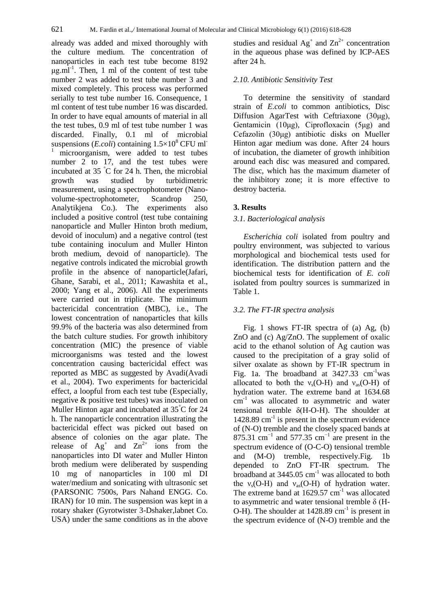already was added and mixed thoroughly with the culture medium. The concentration of nanoparticles in each test tube become 8192  $\mu$ g.ml<sup>-1</sup>. Then, 1 ml of the content of test tube number 2 was added to test tube number 3 and mixed completely. This process was performed serially to test tube number 16. Consequence, 1 ml content of test tube number 16 was discarded. In order to have equal amounts of material in all the test tubes, 0.9 ml of test tube number 1 was discarded. Finally, 0.1 ml of microbial suspensions (*E.coli*) containing  $1.5 \times 10^8$  CFU ml<sup>-</sup> microorganism, were added to test tubes number 2 to 17, and the test tubes were incubated at 35 °C for 24 h. Then, the microbial growth was studied by turbidimetric measurement, using a spectrophotometer (Nanovolume-spectrophotometer, Scandrop 250, Analytikjena Co.). The experiments also included a positive control (test tube containing nanoparticle and Muller Hinton broth medium, devoid of inoculum) and a negative control (test tube containing inoculum and Muller Hinton broth medium, devoid of nanoparticle). The negative controls indicated the microbial growth profile in the absence of nanoparticle(Jafari, Ghane, Sarabi, et al., 2011; Kawashita et al., 2000; Yang et al., 2006). All the experiments were carried out in triplicate. The minimum bactericidal concentration (MBC), i.e., The lowest concentration of nanoparticles that kills 99.9% of the bacteria was also determined from the batch culture studies. For growth inhibitory concentration (MIC) the presence of viable microorganisms was tested and the lowest concentration causing bactericidal effect was reported as MBC as suggested by Avadi(Avadi et al., 2004). Two experiments for bactericidal effect, a loopful from each test tube (Especially, negative & positive test tubes) was inoculated on Muller Hinton agar and incubated at 35°C for 24 h. The nanoparticle concentration illustrating the bactericidal effect was picked out based on absence of colonies on the agar plate. The release of  $Ag^+$  and  $Zn^{2+}$  ions from the nanoparticles into DI water and Muller Hinton broth medium were deliberated by suspending 10 mg of nanoparticles in 100 ml DI water/medium and sonicating with ultrasonic set (PARSONIC 7500s, Pars Nahand ENGG. Co. IRAN) for 10 min. The suspension was kept in a rotary shaker (Gyrotwister 3-Dshaker,labnet Co. USA) under the same conditions as in the above

studies and residual  $Ag^+$  and  $Zn^{2+}$  concentration in the aqueous phase was defined by ICP-AES after 24 h.

# *2.10. Antibiotic Sensitivity Test*

To determine the sensitivity of standard strain of *E.coli* to common antibiotics, Disc Diffusion AgarTest with Ceftriaxone (30μg), Gentamicin (10μg), Ciprofloxacin (5μg) and Cefazolin (30μg) antibiotic disks on Mueller Hinton agar medium was done. After 24 hours of incubation, the diameter of growth inhibition around each disc was measured and compared. The disc, which has the maximum diameter of the inhibitory zone; it is more effective to destroy bacteria.

## **3. Results**

#### *3.1. Bacteriological analysis*

*Escherichia coli* isolated from poultry and poultry environment, was subjected to various morphological and biochemical tests used for identification. The distribution pattern and the biochemical tests for identification of *E. coli*  isolated from poultry sources is summarized in Table 1.

#### *3.2. The FT-IR spectra analysis*

Fig. 1 shows FT-IR spectra of (a) Ag, (b) ZnO and (c) Ag/ZnO. The supplement of oxalic acid to the ethanol solution of Ag caution was caused to the precipitation of a gray solid of silver oxalate as shown by FT-IR spectrum in Fig. 1a. The broadband at  $3427.33$  cm<sup>-1</sup>was allocated to both the  $v_s$ (O-H) and  $v_{as}$ (O-H) of hydration water. The extreme band at 1634.68  $cm<sup>-1</sup>$  was allocated to asymmetric and water tensional tremble δ(H-O-H). The shoulder at 1428.89 cm<sup>-1</sup> is present in the spectrum evidence of (N-O) tremble and the closely spaced bands at 875.31 cm<sup>-1</sup> and 577.35 cm<sup>-1</sup> are present in the spectrum evidence of (O-C-O) tensional tremble and (M-O) tremble, respectively.Fig. 1b depended to ZnO FT-IR spectrum. The broadband at  $3445.05$  cm<sup>-1</sup> was allocated to both the  $v_s$ (O-H) and  $v_{as}$ (O-H) of hydration water. The extreme band at  $1629.57$  cm<sup>-1</sup> was allocated to asymmetric and water tensional tremble  $\delta$  (H-O-H). The shoulder at  $1428.89$  cm<sup>-1</sup> is present in the spectrum evidence of (N-O) tremble and the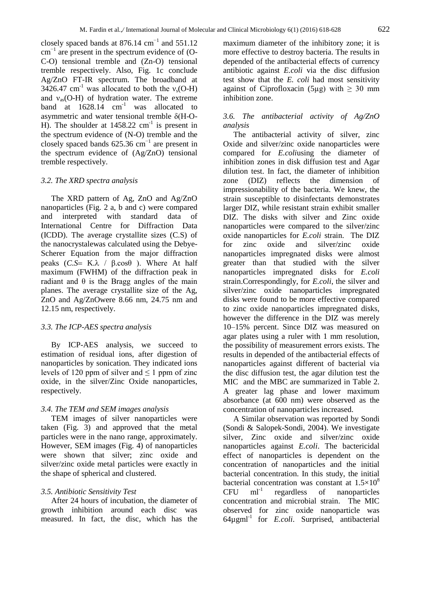closely spaced bands at 876.14  $\text{cm}^{-1}$  and 551.12  $cm^{-1}$  are present in the spectrum evidence of (O-C-O) tensional tremble and (Zn-O) tensional tremble respectively. Also, Fig. 1c conclude Ag/ZnO FT-IR spectrum. The broadband at 3426.47 cm<sup>-1</sup> was allocated to both the  $v_s(O-H)$ and  $v_{as}$ (O-H) of hydration water. The extreme band at  $1628.14$  cm<sup>-1</sup> was allocated to asymmetric and water tensional tremble δ(H-O-H). The shoulder at  $1458.22 \text{ cm}^{-1}$  is present in the spectrum evidence of (N-O) tremble and the closely spaced bands  $625.36$  cm<sup>-1</sup> are present in the spectrum evidence of (Ag/ZnO) tensional tremble respectively.

#### *3.2. The XRD spectra analysis*

The XRD pattern of Ag, ZnO and Ag/ZnO nanoparticles (Fig. 2 a, b and c) were compared and interpreted with standard data of International Centre for Diffraction Data (ICDD). The average crystallite sizes (C.S) of the nanocrystalewas calculated using the Debye-Scherer Equation from the major diffraction peaks  $(C.S = K.\lambda / β.co<sub>s</sub>θ)$ . Where At half maximum (FWHM) of the diffraction peak in radiant and  $\theta$  is the Bragg angles of the main planes. The average crystallite size of the Ag, ZnO and Ag/ZnOwere 8.66 nm, 24.75 nm and 12.15 nm, respectively.

# *3.3. The ICP-AES spectra analysis*

By ICP-AES analysis, we succeed to estimation of residual ions, after digestion of nanoparticles by sonication. They indicated ions levels of 120 ppm of silver and  $\leq 1$  ppm of zinc oxide, in the silver/Zinc Oxide nanoparticles, respectively.

#### *3.4. The TEM and SEM images analysis*

TEM images of silver nanoparticles were taken (Fig. 3) and approved that the metal particles were in the nano range, approximately. However, SEM images (Fig. 4) of nanoparticles were shown that silver; zinc oxide and silver/zinc oxide metal particles were exactly in the shape of spherical and clustered.

# *3.5. Antibiotic Sensitivity Test*

After 24 hours of incubation, the diameter of growth inhibition around each disc was measured. In fact, the disc, which has the

maximum diameter of the inhibitory zone; it is more effective to destroy bacteria. The results in depended of the antibacterial effects of currency antibiotic against *E.coli* via the disc diffusion test show that the *E. coli* had most sensitivity against of Ciprofloxacin (5µg) with  $\geq$  30 mm inhibition zone.

# *3.6. The antibacterial activity of Ag/ZnO analysis*

The antibacterial activity of silver, zinc Oxide and silver/zinc oxide nanoparticles were compared for *E.coli*using the diameter of inhibition zones in disk diffusion test and Agar dilution test. In fact, the diameter of inhibition zone (DIZ) reflects the dimension of impressionability of the bacteria. We knew, the strain susceptible to disinfectants demonstrates larger DIZ, while resistant strain exhibit smaller DIZ. The disks with silver and Zinc oxide nanoparticles were compared to the silver/zinc oxide nanoparticles for *E.coli* strain. The DIZ for zinc oxide and silver/zinc oxide nanoparticles impregnated disks were almost greater than that studied with the silver nanoparticles impregnated disks for *E.coli* strain.Correspondingly, for *E.coli*, the silver and silver/zinc oxide nanoparticles impregnated disks were found to be more effective compared to zinc oxide nanoparticles impregnated disks, however the difference in the DIZ was merely 10–15% percent. Since DIZ was measured on agar plates using a ruler with 1 mm resolution, the possibility of measurement errors exists. The results in depended of the antibacterial effects of nanoparticles against different of bacterial via the disc diffusion test, the agar dilution test the MIC and the MBC are summarized in Table 2. A greater lag phase and lower maximum absorbance (at 600 nm) were observed as the concentration of nanoparticles increased.

A Similar observation was reported by Sondi (Sondi & Salopek-Sondi, 2004). We investigate silver, Zinc oxide and silver/zinc oxide nanoparticles against *E.coli*. The bactericidal effect of nanoparticles is dependent on the concentration of nanoparticles and the initial bacterial concentration. In this study, the initial bacterial concentration was constant at  $1.5\times10^8$  $CFU$  ml<sup>-1</sup> regardless of nanoparticles concentration and microbial strain. The MIC observed for zinc oxide nanoparticle was 64µgml-1 for *E.coli*. Surprised, antibacterial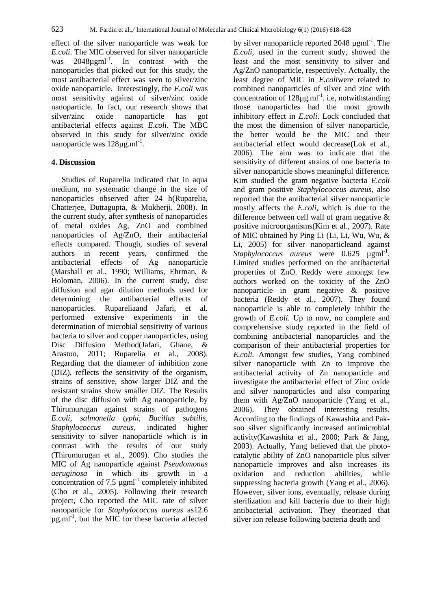effect of the silver nanoparticle was weak for *E.coli*. The MIC observed for silver nanoparticle was  $2048\mu\text{g}ml^{-1}$ . In contrast with the nanoparticles that picked out for this study, the most antibacterial effect was seen to silver/zinc oxide nanoparticle. Interestingly, the *E.coli* was most sensitivity against of silver/zinc oxide nanoparticle. In fact, our research shows that silver/zinc oxide nanoparticle has got antibacterial effects against *E.coli.* The MBC observed in this study for silver/zinc oxide nanoparticle was 128µg.ml<sup>-1</sup>.

### **4. Discussion**

Studies of Ruparelia indicated that in aqua medium, no systematic change in the size of nanoparticles observed after 24 h(Ruparelia, Chatterjee, Duttagupta, & Mukherji, 2008). In the current study, after synthesis of nanoparticles of metal oxides Ag, ZnO and combined nanoparticles of Ag/ZnO, their antibacterial effects compared. Though, studies of several authors in recent years, confirmed the antibacterial effects of Ag nanoparticle (Marshall et al., 1990; Williams, Ehrman, & Holoman, 2006). In the current study, disc diffusion and agar dilution methods used for determining the antibacterial effects of nanoparticles. Rupareliaand Jafari, et al. performed extensive experiments in the determination of microbial sensitivity of various bacteria to silver and copper nanoparticles, using Disc Diffusion Method(Jafari, Ghane, & Arastoo, 2011; Ruparelia et al., 2008). Regarding that the diameter of inhibition zone (DIZ), reflects the sensitivity of the organism, strains of sensitive, show larger DIZ and the resistant strains show smaller DIZ. The Results of the disc diffusion with Ag nanoparticle, by Thirumurugan against strains of pathogens *E.coli, salmonella typhi, Bacillus subtilis, Staphylococcus aureus*, indicated higher sensitivity to silver nanoparticle which is in contrast with the results of our study (Thirumurugan et al., 2009). Cho studies the MIC of Ag nanoparticle against *Pseudomonas aeruginosa* in which its growth in a concentration of 7.5  $\mu$ gml<sup>-1</sup> completely inhibited (Cho et al., 2005). Following their research project, Cho reported the MIC rate of silver nanoparticle for *Staphylococcus aureus* as12.6  $\mu$ g.ml<sup>-1</sup>, but the MIC for these bacteria affected

by silver nanoparticle reported 2048 µgml<sup>-1</sup>. The *E.coli*, used in the current study, showed the least and the most sensitivity to silver and Ag/ZnO nanoparticle, respectively. Actually, the least degree of MIC in *E.coli*were related to combined nanoparticles of silver and zinc with concentration of  $128\mu\text{g.m}$ <sup>1</sup>. i.e, notwithstanding those nanoparticles had the most growth inhibitory effect in *E.coli*. Lock concluded that the most the dimension of silver nanoparticle, the better would be the MIC and their antibacterial effect would decrease(Lok et al., 2006). The aim was to indicate that the sensitivity of different strains of one bacteria to silver nanoparticle shows meaningful difference. Kim studied the gram negative bacteria *E.coli*  and gram positive *Staphylococcus aureus,* also reported that the antibacterial silver nanoparticle mostly affects the *E.coli,* which is due to the difference between cell wall of gram negative & positive microorganisms(Kim et al., 2007). Rate of MIC obtained by Ping Li (Li, Li, Wu, Wu, & Li, 2005) for silver nanoparticleand against  $Staphylococcus$  *aureus* were  $0.625$   $\mu \text{gml}^{-1}$ . Limited studies performed on the antibacterial properties of ZnO. Reddy were amongst few authors worked on the toxicity of the ZnO nanoparticle in gram negative & positive bacteria (Reddy et al., 2007). They found nanoparticle is able to completely inhibit the growth of *E.coli.* Up to now, no complete and comprehensive study reported in the field of combining antibacterial nanoparticles and the comparison of their antibacterial properties for *E.coli.* Amongst few studies, Yang combined silver nanoparticle with Zn to improve the antibacterial activity of Zn nanoparticle and investigate the antibacterial effect of Zinc oxide and silver nanoparticles and also comparing them with Ag/ZnO nanoparticle (Yang et al., 2006). They obtained interesting results. According to the findings of Kawashita and Paksoo silver significantly increased antimicrobial activity(Kawashita et al., 2000; Park & Jang, 2003). Actually, Yang believed that the photocatalytic ability of ZnO nanoparticle plus silver nanoparticle improves and also increases its oxidation and reduction abilities, while suppressing bacteria growth (Yang et al., 2006). However, silver ions, eventually, release during sterilization and kill bacteria due to their high antibacterial activation. They theorized that silver ion release following bacteria death and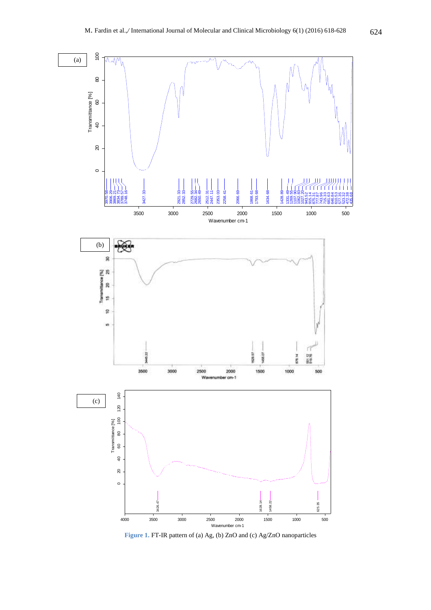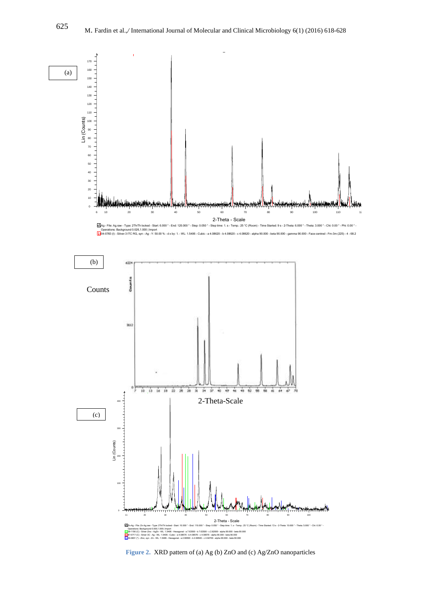

**Figure 2.** XRD pattern of (a) Ag (b) ZnO and (c) Ag/ZnO nanoparticles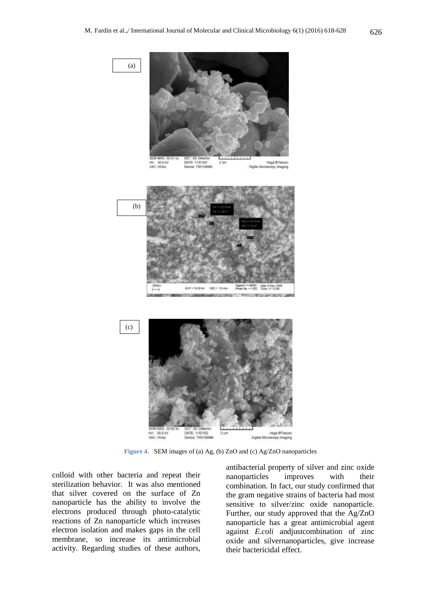

**Figure 4.** SEM images of (a) Ag, (b) ZnO and (c) Ag/ZnO nanoparticles

colloid with other bacteria and repeat their sterilization behavior. It was also mentioned that silver covered on the surface of Zn nanoparticle has the ability to involve the electrons produced through photo-catalytic reactions of Zn nanoparticle which increases electron isolation and makes gaps in the cell membrane, so increase its antimicrobial activity. Regarding studies of these authors,

antibacterial property of silver and zinc oxide nanoparticles improves with their combination. In fact, our study confirmed that the gram negative strains of bacteria had most sensitive to silver/zinc oxide nanoparticle. Further, our study approved that the Ag/ZnO nanoparticle has a great antimicrobial agent against *E.coli* andjustcombination of zinc oxide and silvernanoparticles, give increase their bactericidal effect.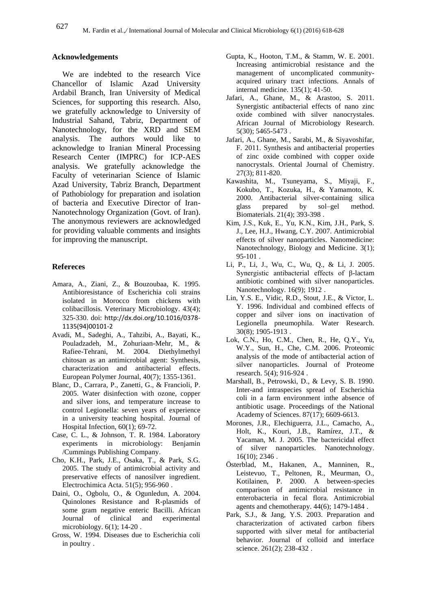# **Acknowledgements**

We are indebted to the research Vice Chancellor of Islamic Azad University Ardabil Branch, Iran University of Medical Sciences, for supporting this research. Also, we gratefully acknowledge to University of Industrial Sahand, Tabriz, Department of Nanotechnology, for the XRD and SEM analysis. The authors would like to acknowledge to Iranian Mineral Processing Research Center (IMPRC) for ICP-AES analysis. We gratefully acknowledge the Faculty of veterinarian Science of Islamic Azad University, Tabriz Branch, Department of Pathobiology for preparation and isolation of bacteria and Executive Director of Iran-Nanotechnology Organization (Govt. of Iran). The anonymous reviewers are acknowledged for providing valuable comments and insights for improving the manuscript.

# **Refereces**

- Amara, A., Ziani, Z., & Bouzoubaa, K. 1995. Antibioresistance of Escherichia coli strains isolated in Morocco from chickens with colibacillosis. Veterinary Microbiology. 43(4); 325-330. doi: [http://dx.doi.org/10.1016/0378-](http://dx.doi.org/10.1016/0378-1135(94)00101-2) [1135\(94\)00101-2](http://dx.doi.org/10.1016/0378-1135(94)00101-2)
- Avadi, M., Sadeghi, A., Tahzibi, A., Bayati, K., Pouladzadeh, M., Zohuriaan-Mehr, M., & Rafiee-Tehrani, M. 2004. Diethylmethyl chitosan as an antimicrobial agent: Synthesis, characterization and antibacterial effects. European Polymer Journal, 40(7); 1355-1361.
- Blanc, D., Carrara, P., Zanetti, G., & Francioli, P. 2005. Water disinfection with ozone, copper and silver ions, and temperature increase to control Legionella: seven years of experience in a university teaching hospital. Journal of Hospital Infection,  $60(1)$ ; 69-72.
- Case, C. L., & Johnson, T. R. 1984. Laboratory experiments in microbiology: Benjamin /Cummings Publishing Company.
- Cho, K.H., Park, J.E., Osaka, T., & Park, S.G. 2005. The study of antimicrobial activity and preservative effects of nanosilver ingredient. Electrochimica Acta. 51(5); 956-960 .
- Daini, O., Ogbolu, O., & Ogunledun, A. 2004. Quinolones Resistance and R-plasmids of some gram negative enteric Bacilli. African Journal of clinical and experimental microbiology. 6(1); 14-20 .
- Gross, W. 1994. Diseases due to Escherichia coli in poultry .
- Gupta, K., Hooton, T.M., & Stamm, W. E. 2001. Increasing antimicrobial resistance and the management of uncomplicated communityacquired urinary tract infections. Annals of internal medicine. 135(1); 41-50.
- Jafari, A., Ghane, M., & Arastoo, S. 2011. Synergistic antibacterial effects of nano zinc oxide combined with silver nanocrystales. African Journal of Microbiology Research. 5(30); 5465-5473 .
- Jafari, A., Ghane, M., Sarabi, M., & Siyavoshifar, F. 2011. Synthesis and antibacterial properties of zinc oxide combined with copper oxide nanocrystals. Oriental Journal of Chemistry. 27(3); 811-820.
- Kawashita, M., Tsuneyama, S., Miyaji, F., Kokubo, T., Kozuka, H., & Yamamoto, K. 2000. Antibacterial silver-containing silica glass prepared by sol–gel method. Biomaterials. 21(4); 393-398 .
- Kim, J.S., Kuk, E., Yu, K.N., Kim, J.H., Park, S. J., Lee, H.J., Hwang, C.Y. 2007. Antimicrobial effects of silver nanoparticles. Nanomedicine: Nanotechnology, Biology and Medicine. 3(1); 95-101 .
- Li, P., Li, J., Wu, C., Wu, Q., & Li, J. 2005. Synergistic antibacterial effects of β-lactam antibiotic combined with silver nanoparticles. Nanotechnology. 16(9); 1912 .
- Lin, Y.S. E., Vidic, R.D., Stout, J.E., & Victor, L. Y. 1996. Individual and combined effects of copper and silver ions on inactivation of Legionella pneumophila. Water Research. 30(8); 1905-1913 .
- Lok, C.N., Ho, C.M., Chen, R., He, Q.Y., Yu, W.Y., Sun, H., Che, C.M. 2006. Proteomic analysis of the mode of antibacterial action of silver nanoparticles. Journal of Proteome research. 5(4); 916-924 .
- Marshall, B., Petrowski, D., & Levy, S. B. 1990. Inter-and intraspecies spread of Escherichia coli in a farm environment inthe absence of antibiotic usage. Proceedings of the National Academy of Sciences. 87(17); 6609-6613.
- Morones, J.R., Elechiguerra, J.L., Camacho, A., Holt, K., Kouri, J.B., Ramírez, J.T., & Yacaman, M. J. 2005. The bactericidal effect of silver nanoparticles. Nanotechnology. 16(10); 2346 .
- Österblad, M., Hakanen, A., Manninen, R., Leistevuo, T., Peltonen, R., Meurman, O., Kotilainen, P. 2000. A between-species comparison of antimicrobial resistance in enterobacteria in fecal flora. Antimicrobial agents and chemotherapy. 44(6); 1479-1484 .
- Park, S.J., & Jang, Y.S. 2003. Preparation and characterization of activated carbon fibers supported with silver metal for antibacterial behavior. Journal of colloid and interface science. 261(2); 238-432 .